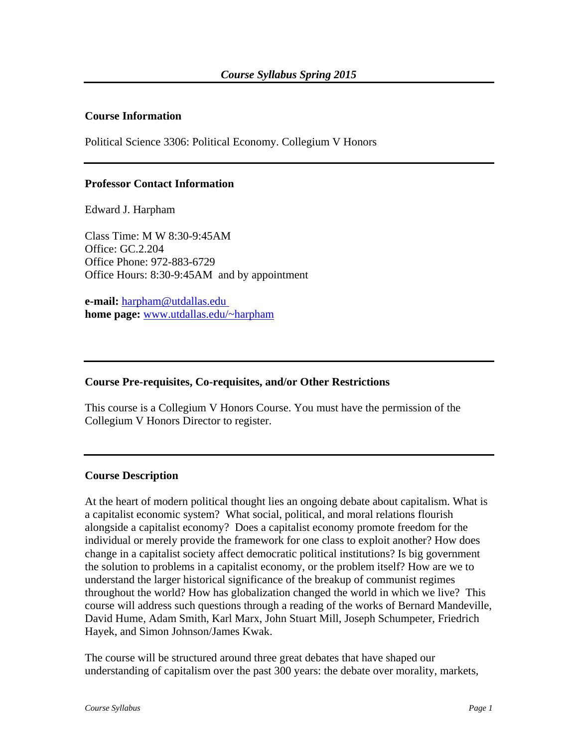### **Course Information**

Political Science 3306: Political Economy. Collegium V Honors

#### **Professor Contact Information**

Edward J. Harpham

Class Time: M W 8:30-9:45AM Office: GC.2.204 Office Phone: 972-883-6729 Office Hours: 8:30-9:45AM and by appointment

**e-mail:** [harpham@utdallas.edu](mailto:harpham@utdallas.edu) **home page:** [www.utdallas.edu/~harpham](http://www.utdallas.edu/~harpham)

#### **Course Pre-requisites, Co-requisites, and/or Other Restrictions**

This course is a Collegium V Honors Course. You must have the permission of the Collegium V Honors Director to register.

#### **Course Description**

At the heart of modern political thought lies an ongoing debate about capitalism. What is a capitalist economic system? What social, political, and moral relations flourish alongside a capitalist economy? Does a capitalist economy promote freedom for the individual or merely provide the framework for one class to exploit another? How does change in a capitalist society affect democratic political institutions? Is big government the solution to problems in a capitalist economy, or the problem itself? How are we to understand the larger historical significance of the breakup of communist regimes throughout the world? How has globalization changed the world in which we live? This course will address such questions through a reading of the works of Bernard Mandeville, David Hume, Adam Smith, Karl Marx, John Stuart Mill, Joseph Schumpeter, Friedrich Hayek, and Simon Johnson/James Kwak.

The course will be structured around three great debates that have shaped our understanding of capitalism over the past 300 years: the debate over morality, markets,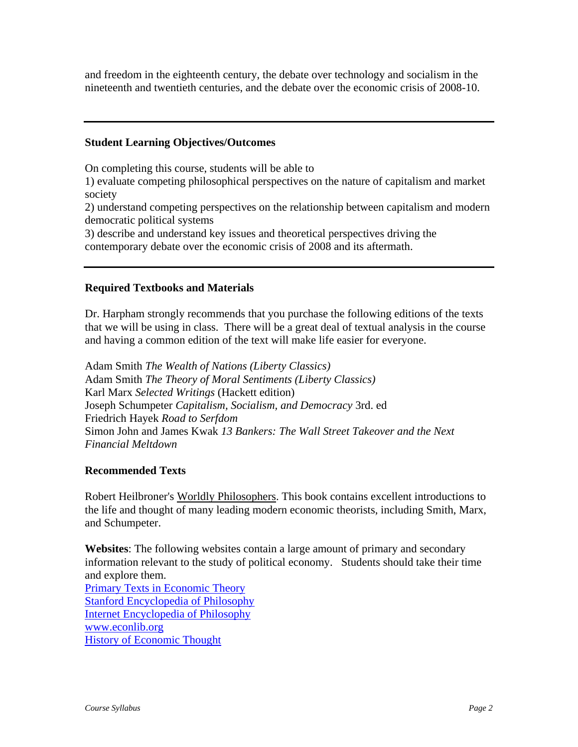and freedom in the eighteenth century, the debate over technology and socialism in the nineteenth and twentieth centuries, and the debate over the economic crisis of 2008-10.

### **Student Learning Objectives/Outcomes**

On completing this course, students will be able to

1) evaluate competing philosophical perspectives on the nature of capitalism and market society

2) understand competing perspectives on the relationship between capitalism and modern democratic political systems

3) describe and understand key issues and theoretical perspectives driving the contemporary debate over the economic crisis of 2008 and its aftermath.

### **Required Textbooks and Materials**

Dr. Harpham strongly recommends that you purchase the following editions of the texts that we will be using in class. There will be a great deal of textual analysis in the course and having a common edition of the text will make life easier for everyone.

Adam Smith *The Wealth of Nations (Liberty Classics)* Adam Smith *The Theory of Moral Sentiments (Liberty Classics)* Karl Marx *Selected Writings* (Hackett edition) Joseph Schumpeter *Capitalism, Socialism, and Democracy* 3rd. ed Friedrich Hayek *Road to Serfdom* Simon John and James Kwak *13 Bankers: The Wall Street Takeover and the Next Financial Meltdown*

#### **Recommended Texts**

Robert Heilbroner's Worldly Philosophers. This book contains excellent introductions to the life and thought of many leading modern economic theorists, including Smith, Marx, and Schumpeter.

**Websites**: The following websites contain a large amount of primary and secondary information relevant to the study of political economy. Students should take their time and explore them.

[Primary Texts in Economic Theory](http://socserv2.socsci.mcmaster.ca/~econ/ugcm/3ll3/index.html) [Stanford Encyclopedia of Philosophy](http://plato.stanford.edu/) [Internet Encyclopedia of Philosophy](http://www.utm.edu/research/iep) [www.econlib.org](http://www.econlib.org/) [History of Economic Thought](http://socserv2.socsci.mcmaster.ca/~econ/ugcm/3ll3/index.html)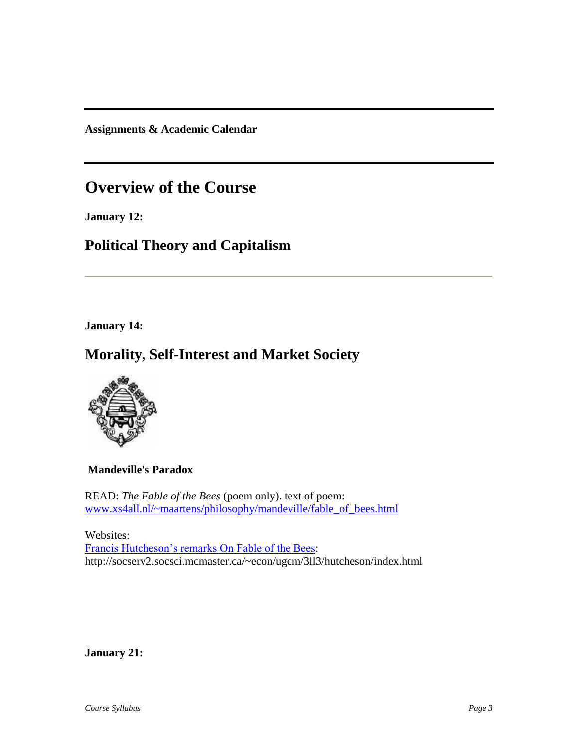**Assignments & Academic Calendar**

# **Overview of the Course**

**January 12:**

# **Political Theory and Capitalism**

**January 14:**

## **Morality, Self-Interest and Market Society**



### **Mandeville's Paradox**

READ: *The Fable of the Bees* (poem only). text of poem[:](http://www.xs4all.nl/~maartens/philosophy/mandeville/fable_of_bees.html) [www.xs4all.nl/~maartens/philosophy/mandeville/fable\\_of\\_bees.html](http://www.xs4all.nl/~maartens/philosophy/mandeville/fable_of_bees.html)

Websites: [Francis Hutcheson's remarks On Fable of the Bees:](http://socserv2.socsci.mcmaster.ca/~econ/ugcm/3ll3/hutcheson/index.html) http://socserv2.socsci.mcmaster.ca/~econ/ugcm/3ll3/hutcheson/index.html

**January 21:**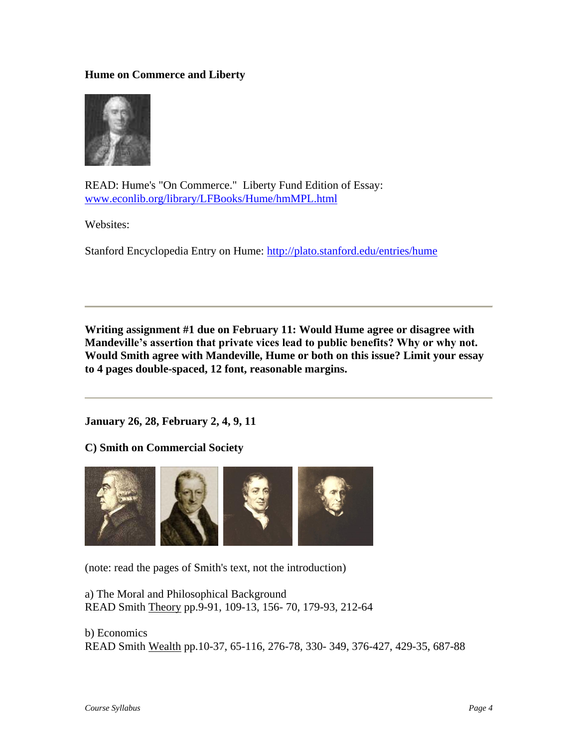### **Hume on Commerce and Liberty**



READ: Hume's "On Commerce." Liberty Fund Edition of Essay: [www.econlib.org/library/LFBooks/Hume/hmMPL.html](http://www.econlib.org/library/LFBooks/Hume/hmMPL.html)

Websites:

Stanford Encyclopedia Entry on Hume:<http://plato.stanford.edu/entries/hume>

**Writing assignment #1 due on February 11: Would Hume agree or disagree with Mandeville's assertion that private vices lead to public benefits? Why or why not. Would Smith agree with Mandeville, Hume or both on this issue? Limit your essay to 4 pages double-spaced, 12 font, reasonable margins.**

**January 26, 28, February 2, 4, 9, 11**

**C) Smith on Commercial Society**



(note: read the pages of Smith's text, not the introduction)

a) The Moral and Philosophical Background READ Smith Theory pp.9-91, 109-13, 156- 70, 179-93, 212-64

b) Economics READ Smith Wealth pp.10-37, 65-116, 276-78, 330- 349, 376-427, 429-35, 687-88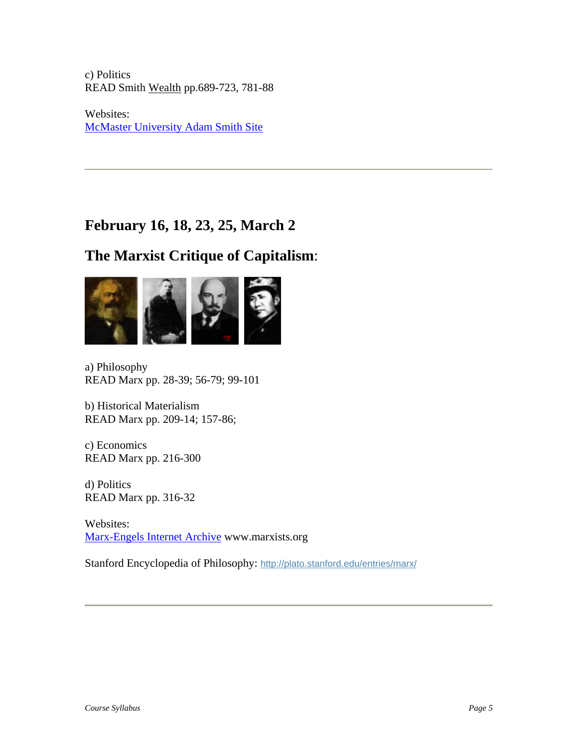c) Politics READ Smith Wealth pp.689-723, 781-88

Websites: [McMaster University Adam Smith Site](http://socserv2.socsci.mcmaster.ca/~econ/ugcm/3ll3/smith/index.html)

# **February 16, 18, 23, 25, March 2**

# **The Marxist Critique of Capitalism**:



a) Philosophy READ Marx pp. 28-39; 56-79; 99-101

b) Historical Materialism READ Marx pp. 209-14; 157-86;

c) Economics READ Marx pp. 216-300

d) Politics READ Marx pp. 316-32

Websites: [Marx-Engels Internet Archive](http://www.marx.org/) www.marxists.org

Stanford Encyclopedia of Philosophy: <http://plato.stanford.edu/entries/marx/>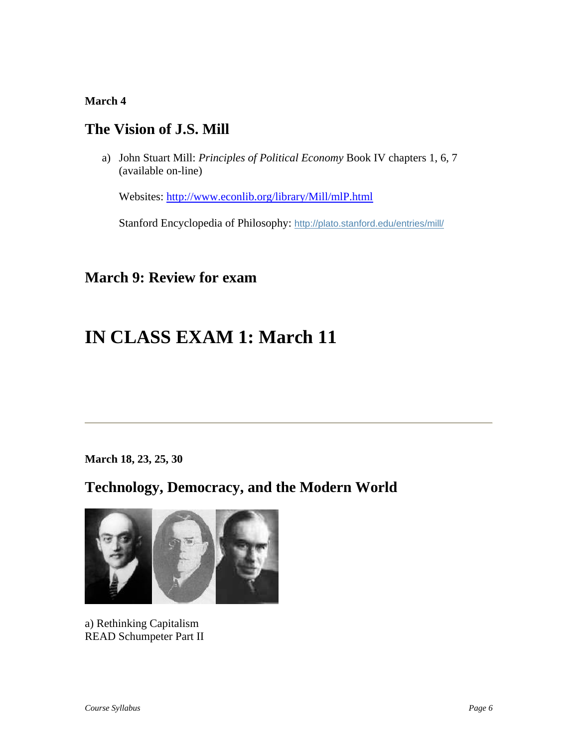### **March 4**

## **The Vision of J.S. Mill**

a) John Stuart Mill: *Principles of Political Economy* Book IV chapters 1, 6, 7 (available on-line)

Websites: <http://www.econlib.org/library/Mill/mlP.html>

Stanford Encyclopedia of Philosophy: <http://plato.stanford.edu/entries/mill/>

# **March 9: Review for exam**

# **IN CLASS EXAM 1: March 11**

**March 18, 23, 25, 30**

# **Technology, Democracy, and the Modern World**



a) Rethinking Capitalism READ Schumpeter Part II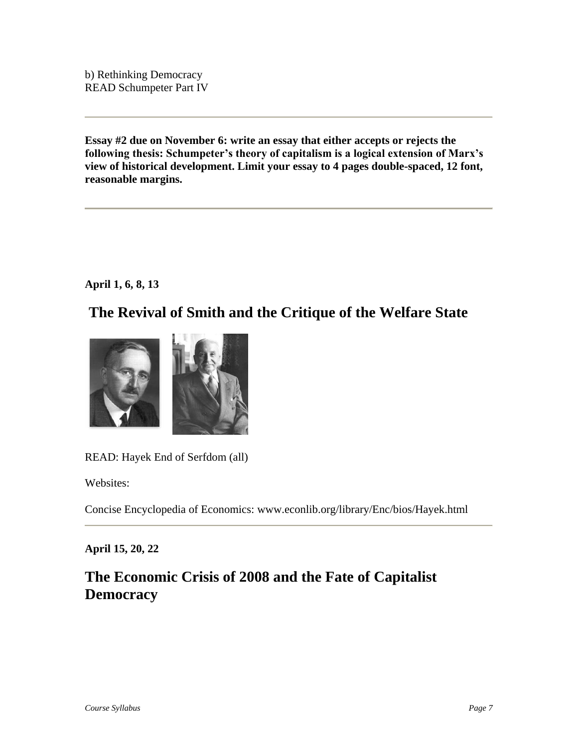b) Rethinking Democracy READ Schumpeter Part IV

**Essay #2 due on November 6: write an essay that either accepts or rejects the following thesis: Schumpeter's theory of capitalism is a logical extension of Marx's view of historical development. Limit your essay to 4 pages double-spaced, 12 font, reasonable margins.**

**April 1, 6, 8, 13**

## **The Revival of Smith and the Critique of the Welfare State**



READ: Hayek End of Serfdom (all)

Websites:

Concise Encyclopedia of Economics: www.econlib.org/library/Enc/bios/Hayek.html

### **April 15, 20, 22**

# **The Economic Crisis of 2008 and the Fate of Capitalist Democracy**